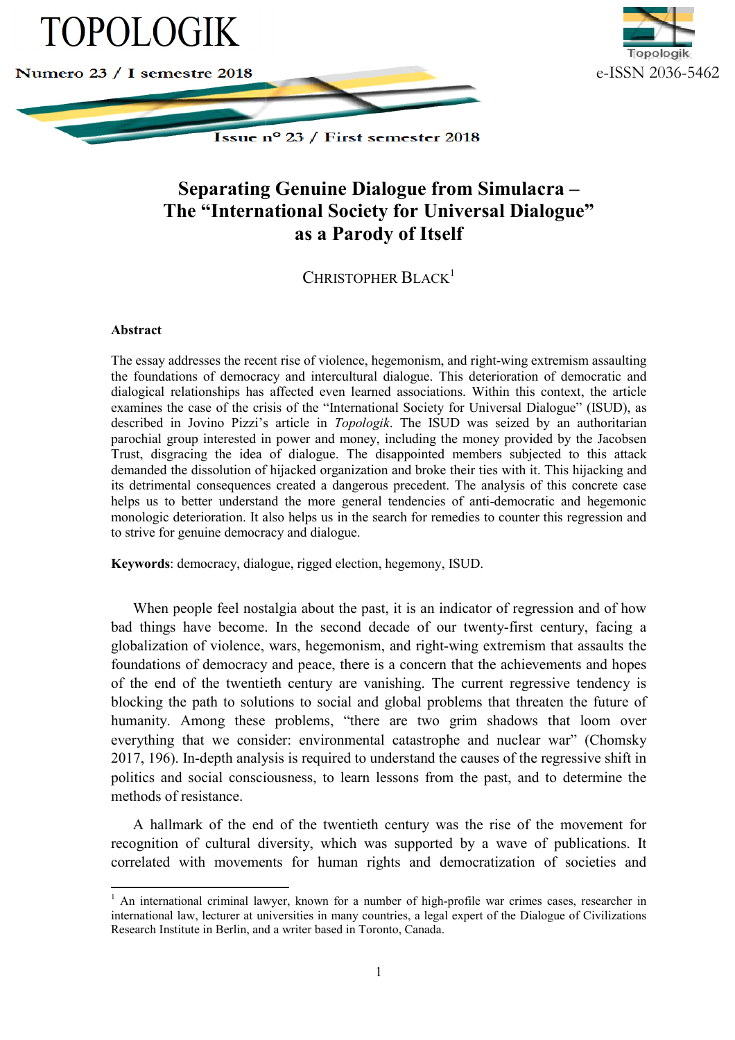



CHRISTOPHER BLACK<sup>1</sup>

## **Abstract**

 $\overline{a}$ 

 $\overline{a}$ 

The essay addresses the recent rise of violence, hegemonism, and right-wing extremism assaulting the foundations of democracy and intercultural dialogue. This deterioration of democratic and dialogical relationships has affected even learned associations. Within this context, the article examines the case of the crisis of the "International Society for Universal Dialogue" (ISUD), as described in Jovino Pizzi's article in *Topologik*. The ISUD was seized by an authoritarian parochial group interested in power and money, including the money provided by the Jacobsen Trust, disgracing the idea of dialogue. The disappointed members subjected to this attack demanded the dissolution of hijacked organization and broke their ties with it. This hijacking and its detrimental consequences created a dangerous precedent. The analysis of this concrete case helps us to better understand the more general tendencies of anti-democratic and hegemonic monologic deterioration. It also helps us in the search for remedies to counter this regression and to strive for genuine democracy and dialogue. wing extremism assaulting<br>oration of democratic and<br>in this context, the article<br>rsal Dialogue" (ISUD), as<br>eized by an authoritarian<br>provided by the Jacobsen

**Keywords**: democracy, dialogue, rigged election, hegemony, ISUD.

When people feel nostalgia about the past, it is an indicator of regression and of how bad things have become. In the second decade of our twenty-first century, facing a globalization of violence, wars, hegemonism, and right-wing extremism that assaults the foundations of democracy and peace, there is a concern that the achievements and hopes globalization of violence, wars, hegemonism, and right-wing extremism that assaults the foundations of democracy and peace, there is a concern that the achievements and hopes of the end of the twentieth century are vanishi blocking the path to solutions to social and global problems that threaten the future of humanity. Among these problems, "there are two grim shadows that loom over everything that we consider: environmental catastrophe and nuclear war" (Chomsky 2017, 196). In-depth analysis is required to understand the causes of the regressive shift in politics and social consciousness, to learn lessons from the past, and to determine the methods of resistance.

A hallmark of the end of the twentieth century was the rise of the movement for A hallmark of the end of the twentieth century was the rise of the movement for recognition of cultural diversity, which was supported by a wave of publications. It correlated with movements for human rights and democratization of societies and

 $1$  An international criminal lawyer, known for a number of high-profile war crimes cases, researcher in international law, lecturer at universities in many countries, a legal expert of the Dialogue of Civilizations Research Institute in Berlin, and a writer b based in Toronto, Canada.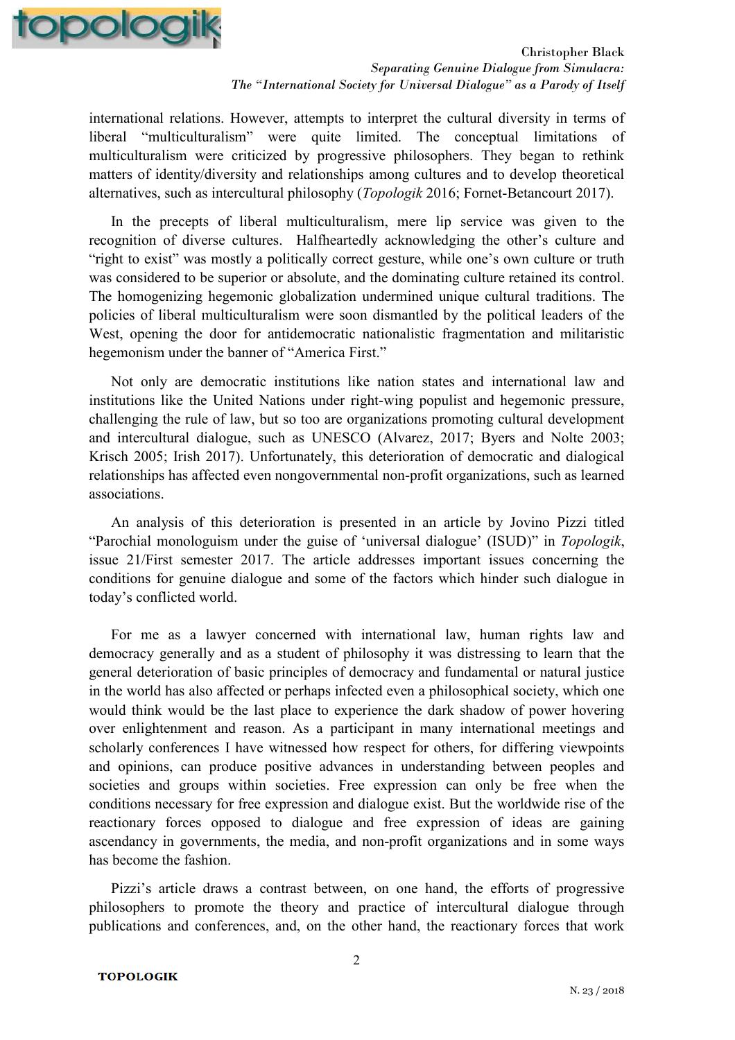

international relations. However, attempts to interpret the cultural diversity in terms of liberal "multiculturalism" were quite limited. The conceptual limitations of multiculturalism were criticized by progressive philosophers. They began to rethink matters of identity/diversity and relationships among cultures and to develop theoretical alternatives, such as intercultural philosophy (*Topologik* 2016; Fornet-Betancourt 2017).

In the precepts of liberal multiculturalism, mere lip service was given to the recognition of diverse cultures. Halfheartedly acknowledging the other's culture and "right to exist" was mostly a politically correct gesture, while one's own culture or truth was considered to be superior or absolute, and the dominating culture retained its control. The homogenizing hegemonic globalization undermined unique cultural traditions. The policies of liberal multiculturalism were soon dismantled by the political leaders of the West, opening the door for antidemocratic nationalistic fragmentation and militaristic hegemonism under the banner of "America First."

Not only are democratic institutions like nation states and international law and institutions like the United Nations under right-wing populist and hegemonic pressure, challenging the rule of law, but so too are organizations promoting cultural development and intercultural dialogue, such as UNESCO (Alvarez, 2017; Byers and Nolte 2003; Krisch 2005; Irish 2017). Unfortunately, this deterioration of democratic and dialogical relationships has affected even nongovernmental non-profit organizations, such as learned associations.

An analysis of this deterioration is presented in an article by Jovino Pizzi titled "Parochial monologuism under the guise of 'universal dialogue' (ISUD)" in *Topologik*, issue 21/First semester 2017. The article addresses important issues concerning the conditions for genuine dialogue and some of the factors which hinder such dialogue in today's conflicted world.

For me as a lawyer concerned with international law, human rights law and democracy generally and as a student of philosophy it was distressing to learn that the general deterioration of basic principles of democracy and fundamental or natural justice in the world has also affected or perhaps infected even a philosophical society, which one would think would be the last place to experience the dark shadow of power hovering over enlightenment and reason. As a participant in many international meetings and scholarly conferences I have witnessed how respect for others, for differing viewpoints and opinions, can produce positive advances in understanding between peoples and societies and groups within societies. Free expression can only be free when the conditions necessary for free expression and dialogue exist. But the worldwide rise of the reactionary forces opposed to dialogue and free expression of ideas are gaining ascendancy in governments, the media, and non-profit organizations and in some ways has become the fashion.

Pizzi's article draws a contrast between, on one hand, the efforts of progressive philosophers to promote the theory and practice of intercultural dialogue through publications and conferences, and, on the other hand, the reactionary forces that work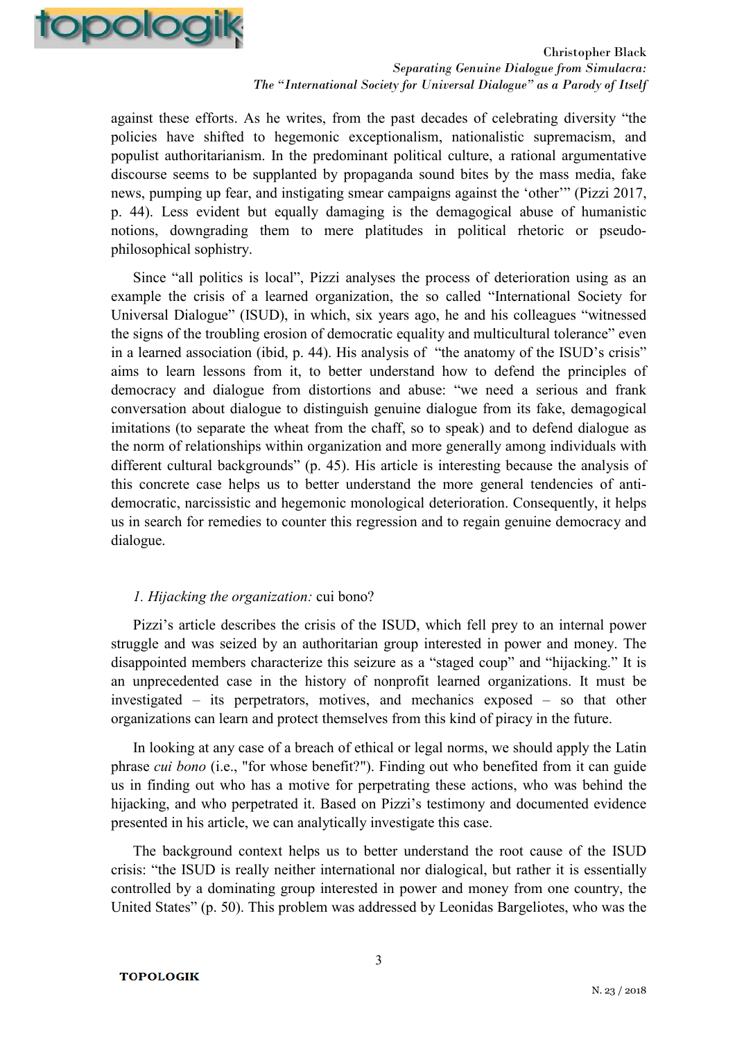

against these efforts. As he writes, from the past decades of celebrating diversity "the policies have shifted to hegemonic exceptionalism, nationalistic supremacism, and populist authoritarianism. In the predominant political culture, a rational argumentative discourse seems to be supplanted by propaganda sound bites by the mass media, fake news, pumping up fear, and instigating smear campaigns against the 'other'" (Pizzi 2017, p. 44). Less evident but equally damaging is the demagogical abuse of humanistic notions, downgrading them to mere platitudes in political rhetoric or pseudophilosophical sophistry.

Since "all politics is local", Pizzi analyses the process of deterioration using as an example the crisis of a learned organization, the so called "International Society for Universal Dialogue" (ISUD), in which, six years ago, he and his colleagues "witnessed the signs of the troubling erosion of democratic equality and multicultural tolerance" even in a learned association (ibid, p. 44). His analysis of "the anatomy of the ISUD's crisis" aims to learn lessons from it, to better understand how to defend the principles of democracy and dialogue from distortions and abuse: "we need a serious and frank conversation about dialogue to distinguish genuine dialogue from its fake, demagogical imitations (to separate the wheat from the chaff, so to speak) and to defend dialogue as the norm of relationships within organization and more generally among individuals with different cultural backgrounds" (p. 45). His article is interesting because the analysis of this concrete case helps us to better understand the more general tendencies of antidemocratic, narcissistic and hegemonic monological deterioration. Consequently, it helps us in search for remedies to counter this regression and to regain genuine democracy and dialogue.

## *1. Hijacking the organization:* cui bono?

Pizzi's article describes the crisis of the ISUD, which fell prey to an internal power struggle and was seized by an authoritarian group interested in power and money. The disappointed members characterize this seizure as a "staged coup" and "hijacking." It is an unprecedented case in the history of nonprofit learned organizations. It must be investigated – its perpetrators, motives, and mechanics exposed – so that other organizations can learn and protect themselves from this kind of piracy in the future.

In looking at any case of a breach of ethical or legal norms, we should apply the Latin phrase *cui bono* (i.e., "for whose benefit?"). Finding out who benefited from it can guide us in finding out who has a motive for perpetrating these actions, who was behind the hijacking, and who perpetrated it. Based on Pizzi's testimony and documented evidence presented in his article, we can analytically investigate this case.

The background context helps us to better understand the root cause of the ISUD crisis: "the ISUD is really neither international nor dialogical, but rather it is essentially controlled by a dominating group interested in power and money from one country, the United States" (p. 50). This problem was addressed by Leonidas Bargeliotes, who was the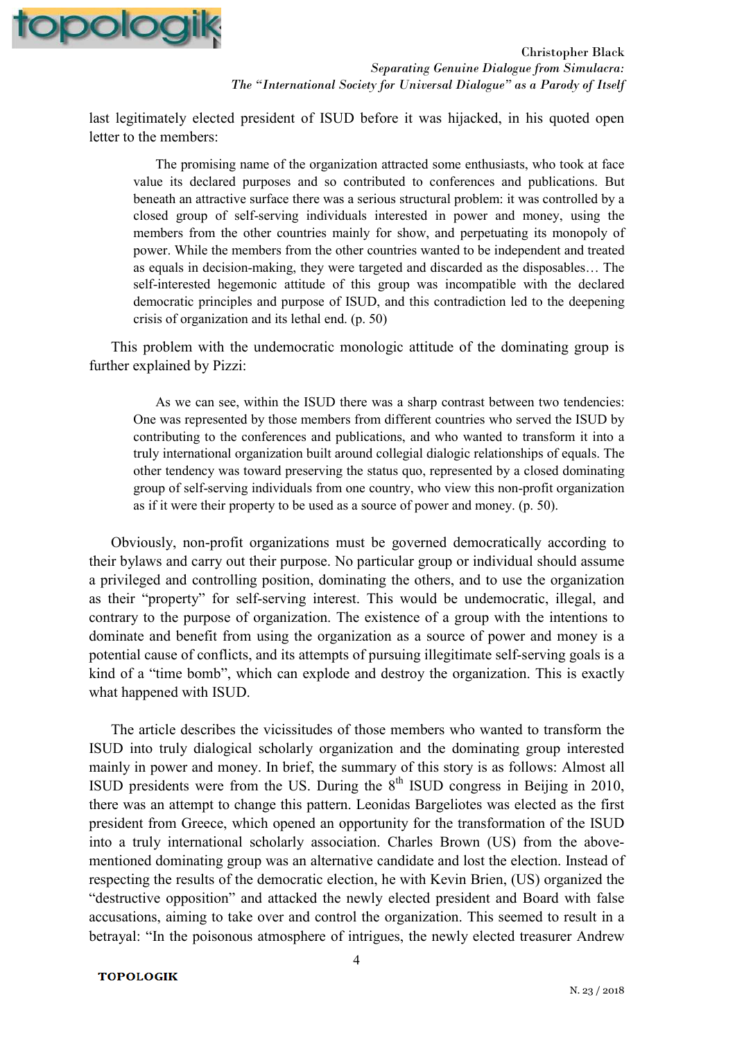

last legitimately elected president of ISUD before it was hijacked, in his quoted open letter to the members:

The promising name of the organization attracted some enthusiasts, who took at face value its declared purposes and so contributed to conferences and publications. But beneath an attractive surface there was a serious structural problem: it was controlled by a closed group of self-serving individuals interested in power and money, using the members from the other countries mainly for show, and perpetuating its monopoly of power. While the members from the other countries wanted to be independent and treated as equals in decision-making, they were targeted and discarded as the disposables… The self-interested hegemonic attitude of this group was incompatible with the declared democratic principles and purpose of ISUD, and this contradiction led to the deepening crisis of organization and its lethal end. (p. 50)

This problem with the undemocratic monologic attitude of the dominating group is further explained by Pizzi:

As we can see, within the ISUD there was a sharp contrast between two tendencies: One was represented by those members from different countries who served the ISUD by contributing to the conferences and publications, and who wanted to transform it into a truly international organization built around collegial dialogic relationships of equals. The other tendency was toward preserving the status quo, represented by a closed dominating group of self-serving individuals from one country, who view this non-profit organization as if it were their property to be used as a source of power and money. (p. 50).

Obviously, non-profit organizations must be governed democratically according to their bylaws and carry out their purpose. No particular group or individual should assume a privileged and controlling position, dominating the others, and to use the organization as their "property" for self-serving interest. This would be undemocratic, illegal, and contrary to the purpose of organization. The existence of a group with the intentions to dominate and benefit from using the organization as a source of power and money is a potential cause of conflicts, and its attempts of pursuing illegitimate self-serving goals is a kind of a "time bomb", which can explode and destroy the organization. This is exactly what happened with ISUD.

The article describes the vicissitudes of those members who wanted to transform the ISUD into truly dialogical scholarly organization and the dominating group interested mainly in power and money. In brief, the summary of this story is as follows: Almost all ISUD presidents were from the US. During the  $8<sup>th</sup>$  ISUD congress in Beijing in 2010, there was an attempt to change this pattern. Leonidas Bargeliotes was elected as the first president from Greece, which opened an opportunity for the transformation of the ISUD into a truly international scholarly association. Charles Brown (US) from the abovementioned dominating group was an alternative candidate and lost the election. Instead of respecting the results of the democratic election, he with Kevin Brien, (US) organized the "destructive opposition" and attacked the newly elected president and Board with false accusations, aiming to take over and control the organization. This seemed to result in a betrayal: "In the poisonous atmosphere of intrigues, the newly elected treasurer Andrew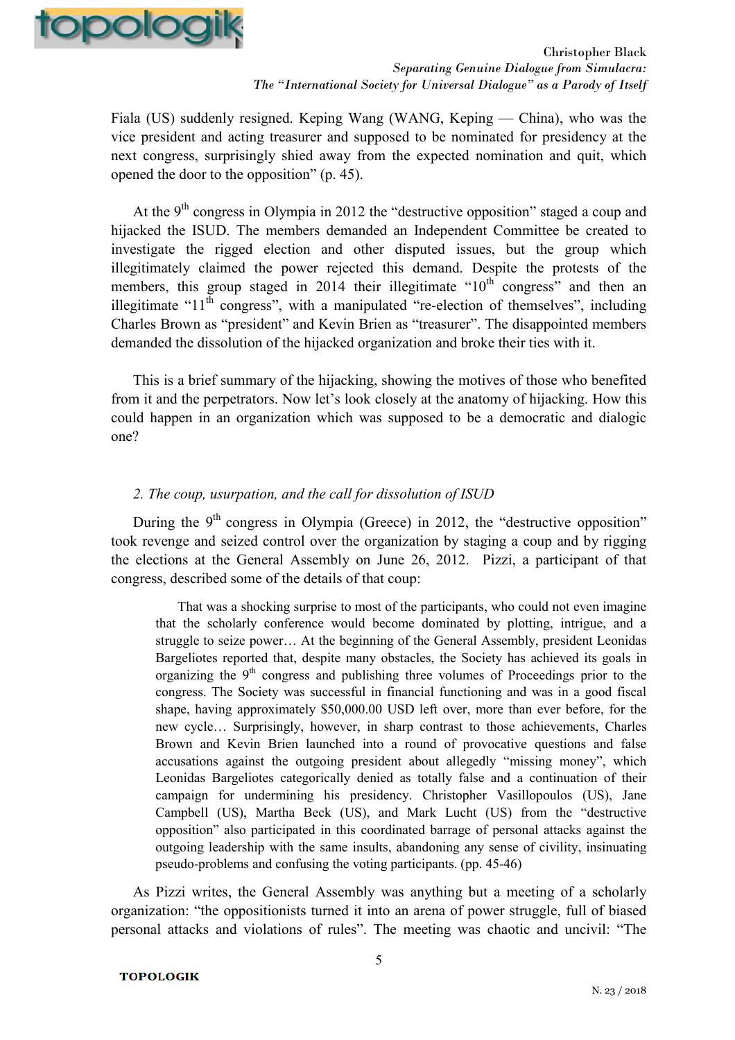

Fiala (US) suddenly resigned. Keping Wang (WANG, Keping — China), who was the vice president and acting treasurer and supposed to be nominated for presidency at the next congress, surprisingly shied away from the expected nomination and quit, which opened the door to the opposition" (p. 45).

At the  $9<sup>th</sup>$  congress in Olympia in 2012 the "destructive opposition" staged a coup and hijacked the ISUD. The members demanded an Independent Committee be created to investigate the rigged election and other disputed issues, but the group which illegitimately claimed the power rejected this demand. Despite the protests of the members, this group staged in 2014 their illegitimate " $10<sup>th</sup>$  congress" and then an illegitimate " $11<sup>th</sup>$  congress", with a manipulated "re-election of themselves", including Charles Brown as "president" and Kevin Brien as "treasurer". The disappointed members demanded the dissolution of the hijacked organization and broke their ties with it.

This is a brief summary of the hijacking, showing the motives of those who benefited from it and the perpetrators. Now let's look closely at the anatomy of hijacking. How this could happen in an organization which was supposed to be a democratic and dialogic one?

## *2. The coup, usurpation, and the call for dissolution of ISUD*

During the  $9<sup>th</sup>$  congress in Olympia (Greece) in 2012, the "destructive opposition" took revenge and seized control over the organization by staging a coup and by rigging the elections at the General Assembly on June 26, 2012. Pizzi, a participant of that congress, described some of the details of that coup:

That was a shocking surprise to most of the participants, who could not even imagine that the scholarly conference would become dominated by plotting, intrigue, and a struggle to seize power… At the beginning of the General Assembly, president Leonidas Bargeliotes reported that, despite many obstacles, the Society has achieved its goals in organizing the  $9<sup>th</sup>$  congress and publishing three volumes of Proceedings prior to the congress. The Society was successful in financial functioning and was in a good fiscal shape, having approximately \$50,000.00 USD left over, more than ever before, for the new cycle… Surprisingly, however, in sharp contrast to those achievements, Charles Brown and Kevin Brien launched into a round of provocative questions and false accusations against the outgoing president about allegedly "missing money", which Leonidas Bargeliotes categorically denied as totally false and a continuation of their campaign for undermining his presidency. Christopher Vasillopoulos (US), Jane Campbell (US), Martha Beck (US), and Mark Lucht (US) from the "destructive opposition" also participated in this coordinated barrage of personal attacks against the outgoing leadership with the same insults, abandoning any sense of civility, insinuating pseudo-problems and confusing the voting participants. (pp. 45-46)

As Pizzi writes, the General Assembly was anything but a meeting of a scholarly organization: "the oppositionists turned it into an arena of power struggle, full of biased personal attacks and violations of rules". The meeting was chaotic and uncivil: "The

#### **TOPOLOGIK**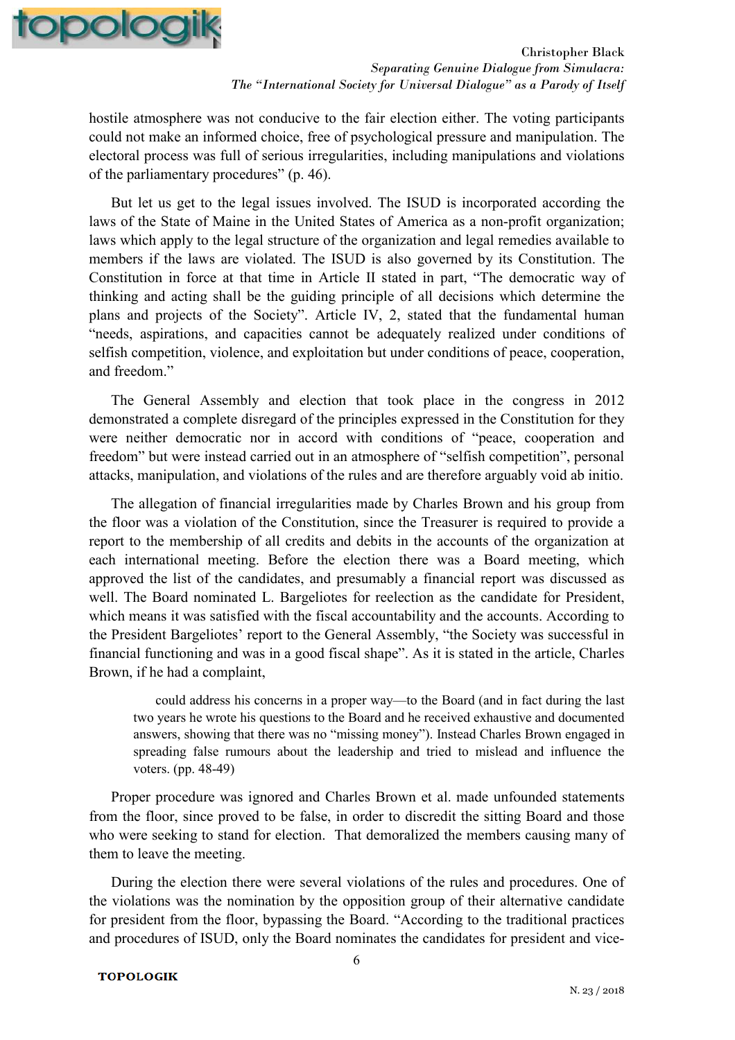

hostile atmosphere was not conducive to the fair election either. The voting participants could not make an informed choice, free of psychological pressure and manipulation. The electoral process was full of serious irregularities, including manipulations and violations of the parliamentary procedures" (p. 46).

But let us get to the legal issues involved. The ISUD is incorporated according the laws of the State of Maine in the United States of America as a non-profit organization; laws which apply to the legal structure of the organization and legal remedies available to members if the laws are violated. The ISUD is also governed by its Constitution. The Constitution in force at that time in Article II stated in part, "The democratic way of thinking and acting shall be the guiding principle of all decisions which determine the plans and projects of the Society". Article IV, 2, stated that the fundamental human "needs, aspirations, and capacities cannot be adequately realized under conditions of selfish competition, violence, and exploitation but under conditions of peace, cooperation, and freedom."

The General Assembly and election that took place in the congress in 2012 demonstrated a complete disregard of the principles expressed in the Constitution for they were neither democratic nor in accord with conditions of "peace, cooperation and freedom" but were instead carried out in an atmosphere of "selfish competition", personal attacks, manipulation, and violations of the rules and are therefore arguably void ab initio.

The allegation of financial irregularities made by Charles Brown and his group from the floor was a violation of the Constitution, since the Treasurer is required to provide a report to the membership of all credits and debits in the accounts of the organization at each international meeting. Before the election there was a Board meeting, which approved the list of the candidates, and presumably a financial report was discussed as well. The Board nominated L. Bargeliotes for reelection as the candidate for President, which means it was satisfied with the fiscal accountability and the accounts. According to the President Bargeliotes' report to the General Assembly, "the Society was successful in financial functioning and was in a good fiscal shape". As it is stated in the article, Charles Brown, if he had a complaint,

could address his concerns in a proper way—to the Board (and in fact during the last two years he wrote his questions to the Board and he received exhaustive and documented answers, showing that there was no "missing money"). Instead Charles Brown engaged in spreading false rumours about the leadership and tried to mislead and influence the voters. (pp. 48-49)

Proper procedure was ignored and Charles Brown et al. made unfounded statements from the floor, since proved to be false, in order to discredit the sitting Board and those who were seeking to stand for election. That demoralized the members causing many of them to leave the meeting.

During the election there were several violations of the rules and procedures. One of the violations was the nomination by the opposition group of their alternative candidate for president from the floor, bypassing the Board. "According to the traditional practices and procedures of ISUD, only the Board nominates the candidates for president and vice-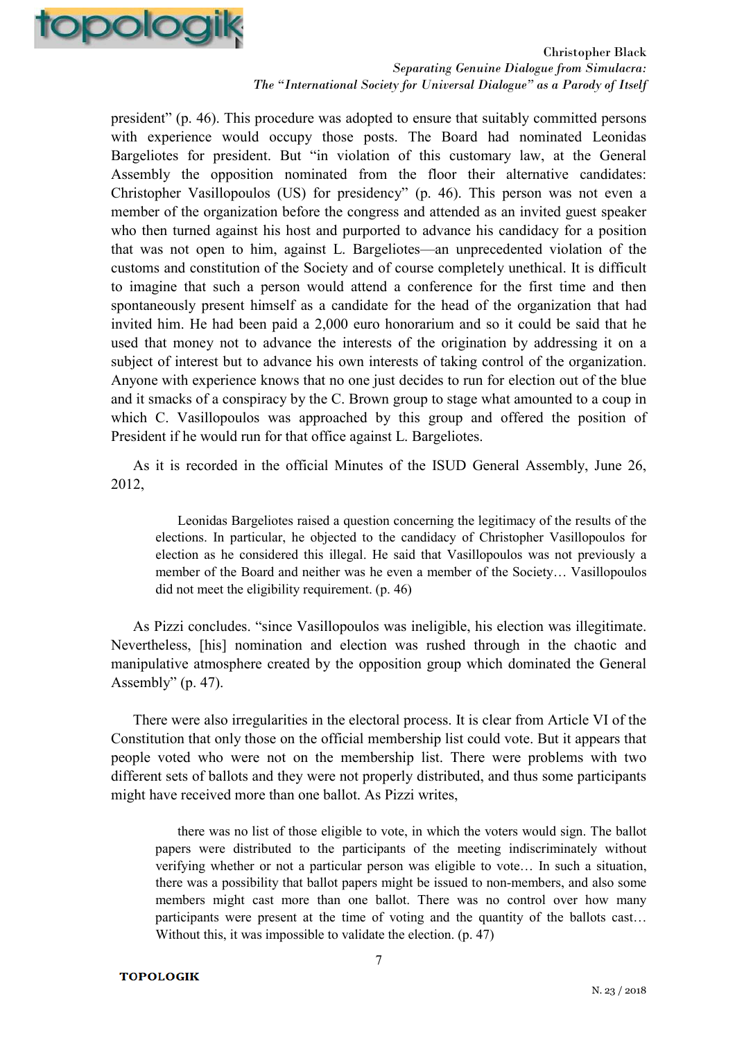

president" (p. 46). This procedure was adopted to ensure that suitably committed persons with experience would occupy those posts. The Board had nominated Leonidas Bargeliotes for president. But "in violation of this customary law, at the General Assembly the opposition nominated from the floor their alternative candidates: Christopher Vasillopoulos (US) for presidency" (p. 46). This person was not even a member of the organization before the congress and attended as an invited guest speaker who then turned against his host and purported to advance his candidacy for a position that was not open to him, against L. Bargeliotes—an unprecedented violation of the customs and constitution of the Society and of course completely unethical. It is difficult to imagine that such a person would attend a conference for the first time and then spontaneously present himself as a candidate for the head of the organization that had invited him. He had been paid a 2,000 euro honorarium and so it could be said that he used that money not to advance the interests of the origination by addressing it on a subject of interest but to advance his own interests of taking control of the organization. Anyone with experience knows that no one just decides to run for election out of the blue and it smacks of a conspiracy by the C. Brown group to stage what amounted to a coup in which C. Vasillopoulos was approached by this group and offered the position of President if he would run for that office against L. Bargeliotes.

As it is recorded in the official Minutes of the ISUD General Assembly, June 26, 2012,

Leonidas Bargeliotes raised a question concerning the legitimacy of the results of the elections. In particular, he objected to the candidacy of Christopher Vasillopoulos for election as he considered this illegal. He said that Vasillopoulos was not previously a member of the Board and neither was he even a member of the Society… Vasillopoulos did not meet the eligibility requirement. (p. 46)

As Pizzi concludes. "since Vasillopoulos was ineligible, his election was illegitimate. Nevertheless, [his] nomination and election was rushed through in the chaotic and manipulative atmosphere created by the opposition group which dominated the General Assembly"  $(p. 47)$ .

There were also irregularities in the electoral process. It is clear from Article VI of the Constitution that only those on the official membership list could vote. But it appears that people voted who were not on the membership list. There were problems with two different sets of ballots and they were not properly distributed, and thus some participants might have received more than one ballot. As Pizzi writes,

there was no list of those eligible to vote, in which the voters would sign. The ballot papers were distributed to the participants of the meeting indiscriminately without verifying whether or not a particular person was eligible to vote… In such a situation, there was a possibility that ballot papers might be issued to non-members, and also some members might cast more than one ballot. There was no control over how many participants were present at the time of voting and the quantity of the ballots cast… Without this, it was impossible to validate the election. (p. 47)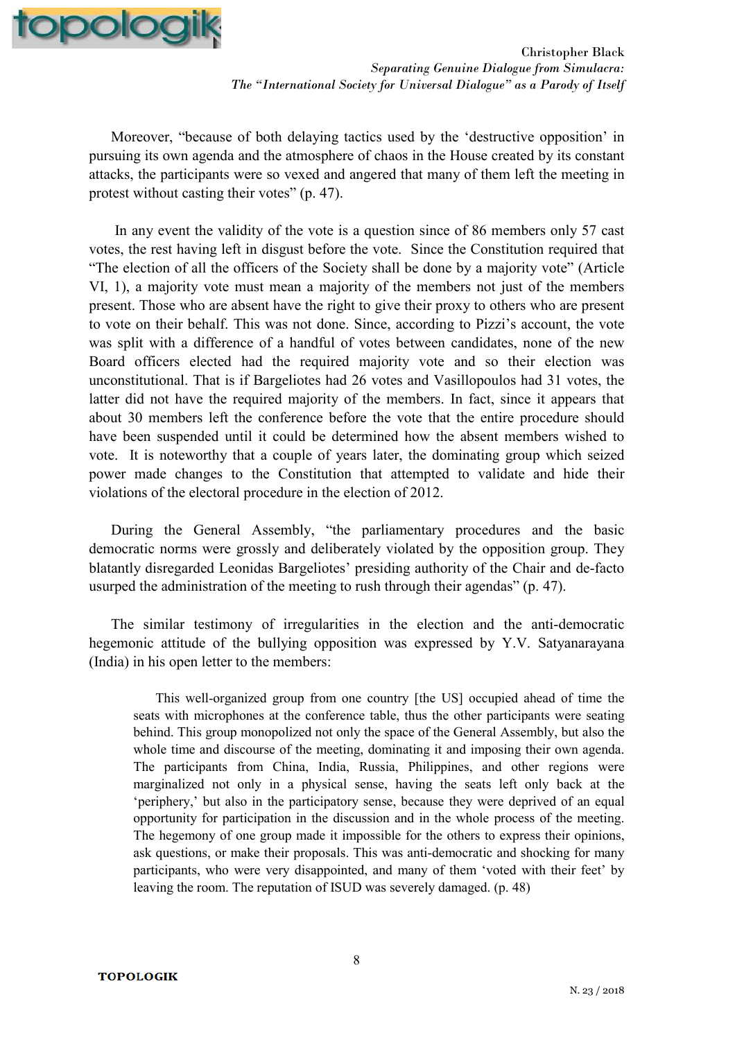

Moreover, "because of both delaying tactics used by the 'destructive opposition' in pursuing its own agenda and the atmosphere of chaos in the House created by its constant attacks, the participants were so vexed and angered that many of them left the meeting in protest without casting their votes" (p. 47).

 In any event the validity of the vote is a question since of 86 members only 57 cast votes, the rest having left in disgust before the vote. Since the Constitution required that "The election of all the officers of the Society shall be done by a majority vote" (Article VI, 1), a majority vote must mean a majority of the members not just of the members present. Those who are absent have the right to give their proxy to others who are present to vote on their behalf. This was not done. Since, according to Pizzi's account, the vote was split with a difference of a handful of votes between candidates, none of the new Board officers elected had the required majority vote and so their election was unconstitutional. That is if Bargeliotes had 26 votes and Vasillopoulos had 31 votes, the latter did not have the required majority of the members. In fact, since it appears that about 30 members left the conference before the vote that the entire procedure should have been suspended until it could be determined how the absent members wished to vote. It is noteworthy that a couple of years later, the dominating group which seized power made changes to the Constitution that attempted to validate and hide their violations of the electoral procedure in the election of 2012.

During the General Assembly, "the parliamentary procedures and the basic democratic norms were grossly and deliberately violated by the opposition group. They blatantly disregarded Leonidas Bargeliotes' presiding authority of the Chair and de-facto usurped the administration of the meeting to rush through their agendas" (p. 47).

The similar testimony of irregularities in the election and the anti-democratic hegemonic attitude of the bullying opposition was expressed by Y.V. Satyanarayana (India) in his open letter to the members:

This well-organized group from one country [the US] occupied ahead of time the seats with microphones at the conference table, thus the other participants were seating behind. This group monopolized not only the space of the General Assembly, but also the whole time and discourse of the meeting, dominating it and imposing their own agenda. The participants from China, India, Russia, Philippines, and other regions were marginalized not only in a physical sense, having the seats left only back at the 'periphery,' but also in the participatory sense, because they were deprived of an equal opportunity for participation in the discussion and in the whole process of the meeting. The hegemony of one group made it impossible for the others to express their opinions, ask questions, or make their proposals. This was anti-democratic and shocking for many participants, who were very disappointed, and many of them 'voted with their feet' by leaving the room. The reputation of ISUD was severely damaged. (p. 48)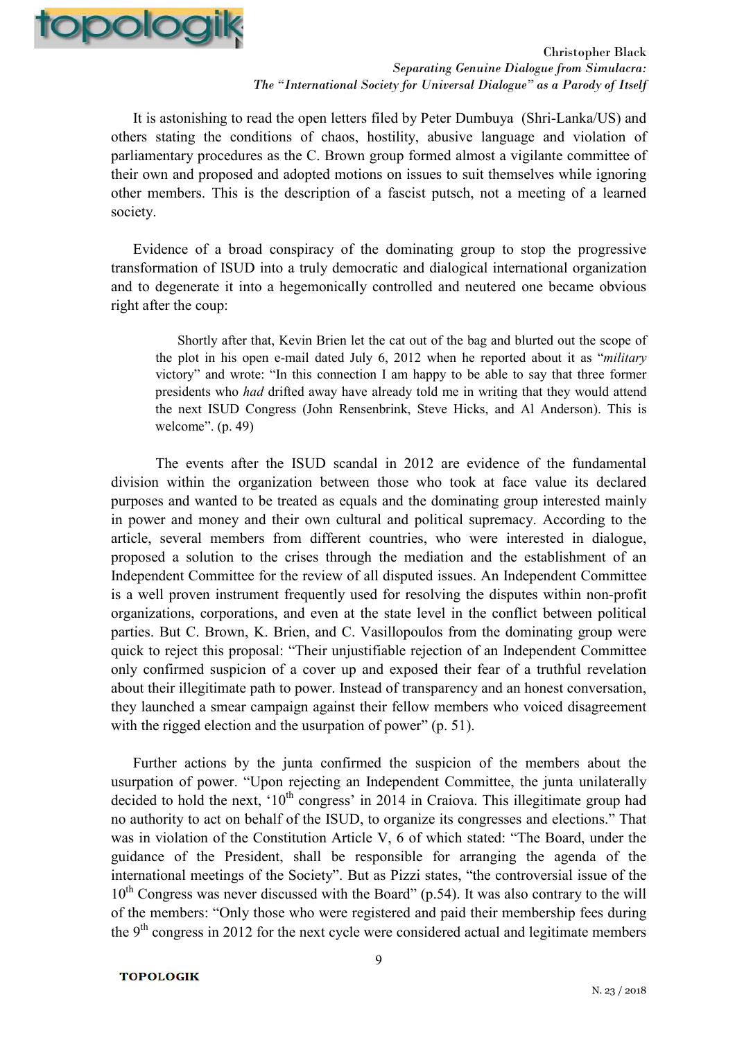

It is astonishing to read the open letters filed by Peter Dumbuya (Shri-Lanka/US) and others stating the conditions of chaos, hostility, abusive language and violation of parliamentary procedures as the C. Brown group formed almost a vigilante committee of their own and proposed and adopted motions on issues to suit themselves while ignoring other members. This is the description of a fascist putsch, not a meeting of a learned society.

Evidence of a broad conspiracy of the dominating group to stop the progressive transformation of ISUD into a truly democratic and dialogical international organization and to degenerate it into a hegemonically controlled and neutered one became obvious right after the coup:

Shortly after that, Kevin Brien let the cat out of the bag and blurted out the scope of the plot in his open e-mail dated July 6, 2012 when he reported about it as "*military* victory" and wrote: "In this connection I am happy to be able to say that three former presidents who *had* drifted away have already told me in writing that they would attend the next ISUD Congress (John Rensenbrink, Steve Hicks, and Al Anderson). This is welcome". (p. 49)

 The events after the ISUD scandal in 2012 are evidence of the fundamental division within the organization between those who took at face value its declared purposes and wanted to be treated as equals and the dominating group interested mainly in power and money and their own cultural and political supremacy. According to the article, several members from different countries, who were interested in dialogue, proposed a solution to the crises through the mediation and the establishment of an Independent Committee for the review of all disputed issues. An Independent Committee is a well proven instrument frequently used for resolving the disputes within non-profit organizations, corporations, and even at the state level in the conflict between political parties. But C. Brown, K. Brien, and C. Vasillopoulos from the dominating group were quick to reject this proposal: "Their unjustifiable rejection of an Independent Committee only confirmed suspicion of a cover up and exposed their fear of a truthful revelation about their illegitimate path to power. Instead of transparency and an honest conversation, they launched a smear campaign against their fellow members who voiced disagreement with the rigged election and the usurpation of power" (p. 51).

Further actions by the junta confirmed the suspicion of the members about the usurpation of power. "Upon rejecting an Independent Committee, the junta unilaterally decided to hold the next,  $10<sup>th</sup>$  congress' in 2014 in Craiova. This illegitimate group had no authority to act on behalf of the ISUD, to organize its congresses and elections." That was in violation of the Constitution Article V, 6 of which stated: "The Board, under the guidance of the President, shall be responsible for arranging the agenda of the international meetings of the Society". But as Pizzi states, "the controversial issue of the  $10^{th}$  Congress was never discussed with the Board" (p.54). It was also contrary to the will of the members: "Only those who were registered and paid their membership fees during the  $9<sup>th</sup>$  congress in 2012 for the next cycle were considered actual and legitimate members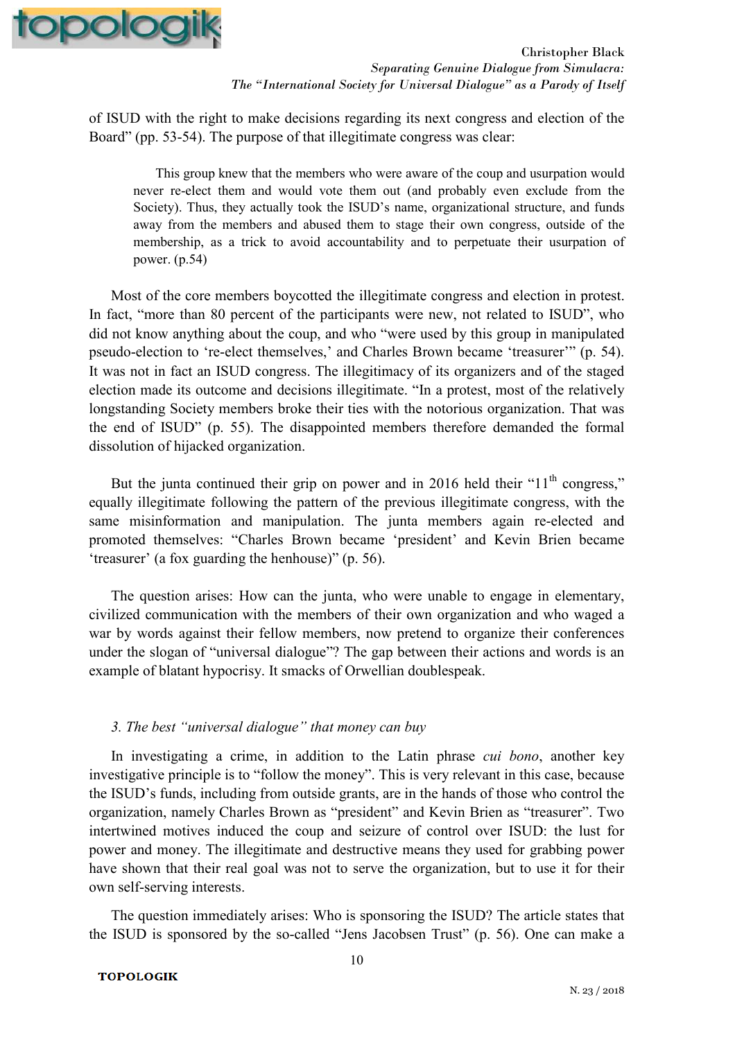

of ISUD with the right to make decisions regarding its next congress and election of the Board" (pp. 53-54). The purpose of that illegitimate congress was clear:

This group knew that the members who were aware of the coup and usurpation would never re-elect them and would vote them out (and probably even exclude from the Society). Thus, they actually took the ISUD's name, organizational structure, and funds away from the members and abused them to stage their own congress, outside of the membership, as a trick to avoid accountability and to perpetuate their usurpation of power. (p.54)

Most of the core members boycotted the illegitimate congress and election in protest. In fact, "more than 80 percent of the participants were new, not related to ISUD", who did not know anything about the coup, and who "were used by this group in manipulated pseudo-election to 're-elect themselves,' and Charles Brown became 'treasurer'" (p. 54). It was not in fact an ISUD congress. The illegitimacy of its organizers and of the staged election made its outcome and decisions illegitimate. "In a protest, most of the relatively longstanding Society members broke their ties with the notorious organization. That was the end of ISUD" (p. 55). The disappointed members therefore demanded the formal dissolution of hijacked organization.

But the junta continued their grip on power and in 2016 held their " $11<sup>th</sup>$  congress," equally illegitimate following the pattern of the previous illegitimate congress, with the same misinformation and manipulation. The junta members again re-elected and promoted themselves: "Charles Brown became 'president' and Kevin Brien became 'treasurer' (a fox guarding the henhouse)" (p. 56).

The question arises: How can the junta, who were unable to engage in elementary, civilized communication with the members of their own organization and who waged a war by words against their fellow members, now pretend to organize their conferences under the slogan of "universal dialogue"? The gap between their actions and words is an example of blatant hypocrisy. It smacks of Orwellian doublespeak.

### *3. The best "universal dialogue" that money can buy*

In investigating a crime, in addition to the Latin phrase *cui bono*, another key investigative principle is to "follow the money". This is very relevant in this case, because the ISUD's funds, including from outside grants, are in the hands of those who control the organization, namely Charles Brown as "president" and Kevin Brien as "treasurer". Two intertwined motives induced the coup and seizure of control over ISUD: the lust for power and money. The illegitimate and destructive means they used for grabbing power have shown that their real goal was not to serve the organization, but to use it for their own self-serving interests.

The question immediately arises: Who is sponsoring the ISUD? The article states that the ISUD is sponsored by the so-called "Jens Jacobsen Trust" (p. 56). One can make a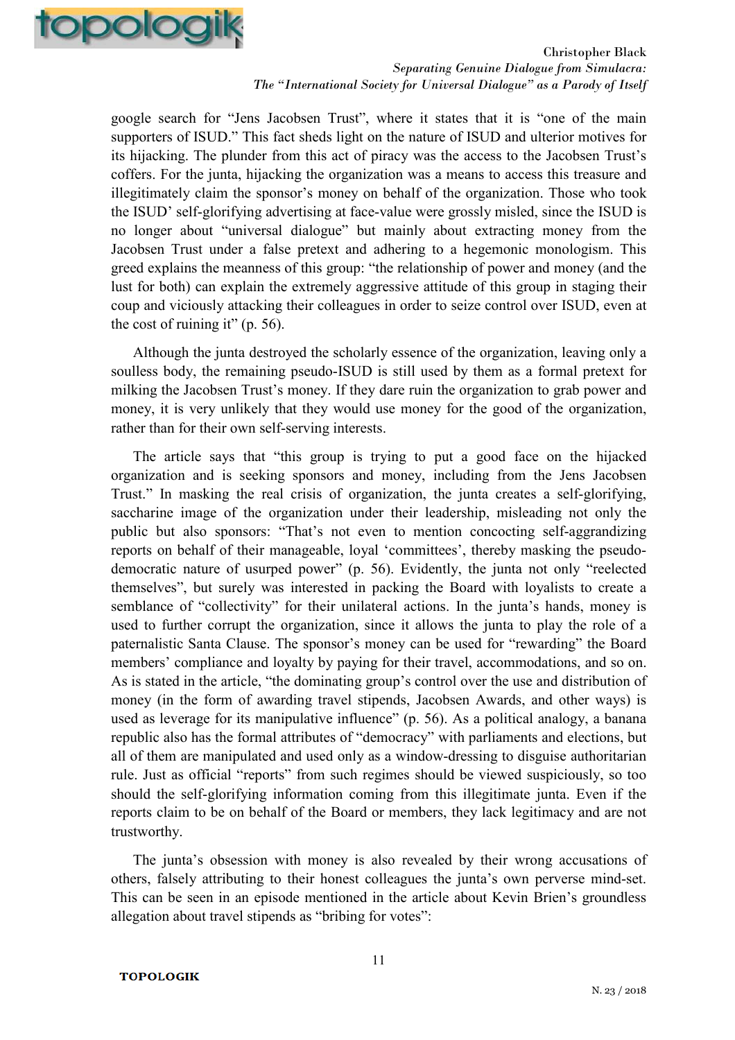

google search for "Jens Jacobsen Trust", where it states that it is "one of the main supporters of ISUD." This fact sheds light on the nature of ISUD and ulterior motives for its hijacking. The plunder from this act of piracy was the access to the Jacobsen Trust's coffers. For the junta, hijacking the organization was a means to access this treasure and illegitimately claim the sponsor's money on behalf of the organization. Those who took the ISUD' self-glorifying advertising at face-value were grossly misled, since the ISUD is no longer about "universal dialogue" but mainly about extracting money from the Jacobsen Trust under a false pretext and adhering to a hegemonic monologism. This greed explains the meanness of this group: "the relationship of power and money (and the lust for both) can explain the extremely aggressive attitude of this group in staging their coup and viciously attacking their colleagues in order to seize control over ISUD, even at the cost of ruining it" (p. 56).

Although the junta destroyed the scholarly essence of the organization, leaving only a soulless body, the remaining pseudo-ISUD is still used by them as a formal pretext for milking the Jacobsen Trust's money. If they dare ruin the organization to grab power and money, it is very unlikely that they would use money for the good of the organization, rather than for their own self-serving interests.

The article says that "this group is trying to put a good face on the hijacked organization and is seeking sponsors and money, including from the Jens Jacobsen Trust." In masking the real crisis of organization, the junta creates a self-glorifying, saccharine image of the organization under their leadership, misleading not only the public but also sponsors: "That's not even to mention concocting self-aggrandizing reports on behalf of their manageable, loyal 'committees', thereby masking the pseudodemocratic nature of usurped power" (p. 56). Evidently, the junta not only "reelected themselves", but surely was interested in packing the Board with loyalists to create a semblance of "collectivity" for their unilateral actions. In the junta's hands, money is used to further corrupt the organization, since it allows the junta to play the role of a paternalistic Santa Clause. The sponsor's money can be used for "rewarding" the Board members' compliance and loyalty by paying for their travel, accommodations, and so on. As is stated in the article, "the dominating group's control over the use and distribution of money (in the form of awarding travel stipends, Jacobsen Awards, and other ways) is used as leverage for its manipulative influence" (p. 56). As a political analogy, a banana republic also has the formal attributes of "democracy" with parliaments and elections, but all of them are manipulated and used only as a window-dressing to disguise authoritarian rule. Just as official "reports" from such regimes should be viewed suspiciously, so too should the self-glorifying information coming from this illegitimate junta. Even if the reports claim to be on behalf of the Board or members, they lack legitimacy and are not trustworthy.

The junta's obsession with money is also revealed by their wrong accusations of others, falsely attributing to their honest colleagues the junta's own perverse mind-set. This can be seen in an episode mentioned in the article about Kevin Brien's groundless allegation about travel stipends as "bribing for votes":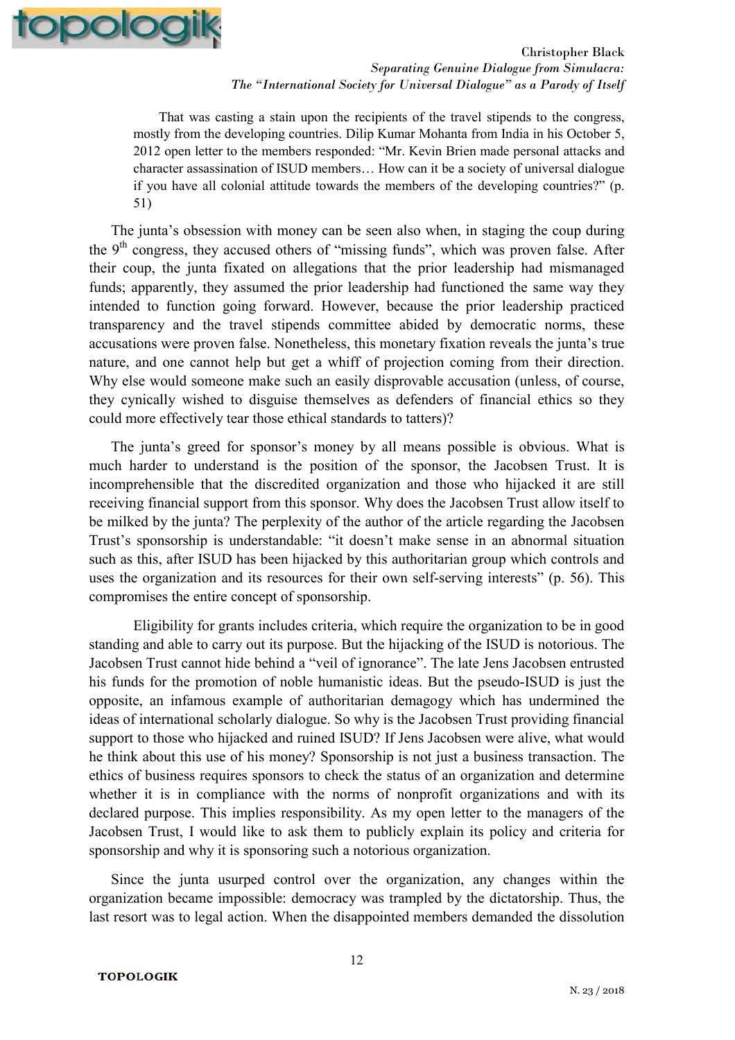

 That was casting a stain upon the recipients of the travel stipends to the congress, mostly from the developing countries. Dilip Kumar Mohanta from India in his October 5, 2012 open letter to the members responded: "Mr. Kevin Brien made personal attacks and character assassination of ISUD members… How can it be a society of universal dialogue if you have all colonial attitude towards the members of the developing countries?" (p. 51)

The junta's obsession with money can be seen also when, in staging the coup during the  $9<sup>th</sup>$  congress, they accused others of "missing funds", which was proven false. After their coup, the junta fixated on allegations that the prior leadership had mismanaged funds; apparently, they assumed the prior leadership had functioned the same way they intended to function going forward. However, because the prior leadership practiced transparency and the travel stipends committee abided by democratic norms, these accusations were proven false. Nonetheless, this monetary fixation reveals the junta's true nature, and one cannot help but get a whiff of projection coming from their direction. Why else would someone make such an easily disprovable accusation (unless, of course, they cynically wished to disguise themselves as defenders of financial ethics so they could more effectively tear those ethical standards to tatters)?

The junta's greed for sponsor's money by all means possible is obvious. What is much harder to understand is the position of the sponsor, the Jacobsen Trust. It is incomprehensible that the discredited organization and those who hijacked it are still receiving financial support from this sponsor. Why does the Jacobsen Trust allow itself to be milked by the junta? The perplexity of the author of the article regarding the Jacobsen Trust's sponsorship is understandable: "it doesn't make sense in an abnormal situation such as this, after ISUD has been hijacked by this authoritarian group which controls and uses the organization and its resources for their own self-serving interests" (p. 56). This compromises the entire concept of sponsorship.

 Eligibility for grants includes criteria, which require the organization to be in good standing and able to carry out its purpose. But the hijacking of the ISUD is notorious. The Jacobsen Trust cannot hide behind a "veil of ignorance". The late Jens Jacobsen entrusted his funds for the promotion of noble humanistic ideas. But the pseudo-ISUD is just the opposite, an infamous example of authoritarian demagogy which has undermined the ideas of international scholarly dialogue. So why is the Jacobsen Trust providing financial support to those who hijacked and ruined ISUD? If Jens Jacobsen were alive, what would he think about this use of his money? Sponsorship is not just a business transaction. The ethics of business requires sponsors to check the status of an organization and determine whether it is in compliance with the norms of nonprofit organizations and with its declared purpose. This implies responsibility. As my open letter to the managers of the Jacobsen Trust, I would like to ask them to publicly explain its policy and criteria for sponsorship and why it is sponsoring such a notorious organization.

Since the junta usurped control over the organization, any changes within the organization became impossible: democracy was trampled by the dictatorship. Thus, the last resort was to legal action. When the disappointed members demanded the dissolution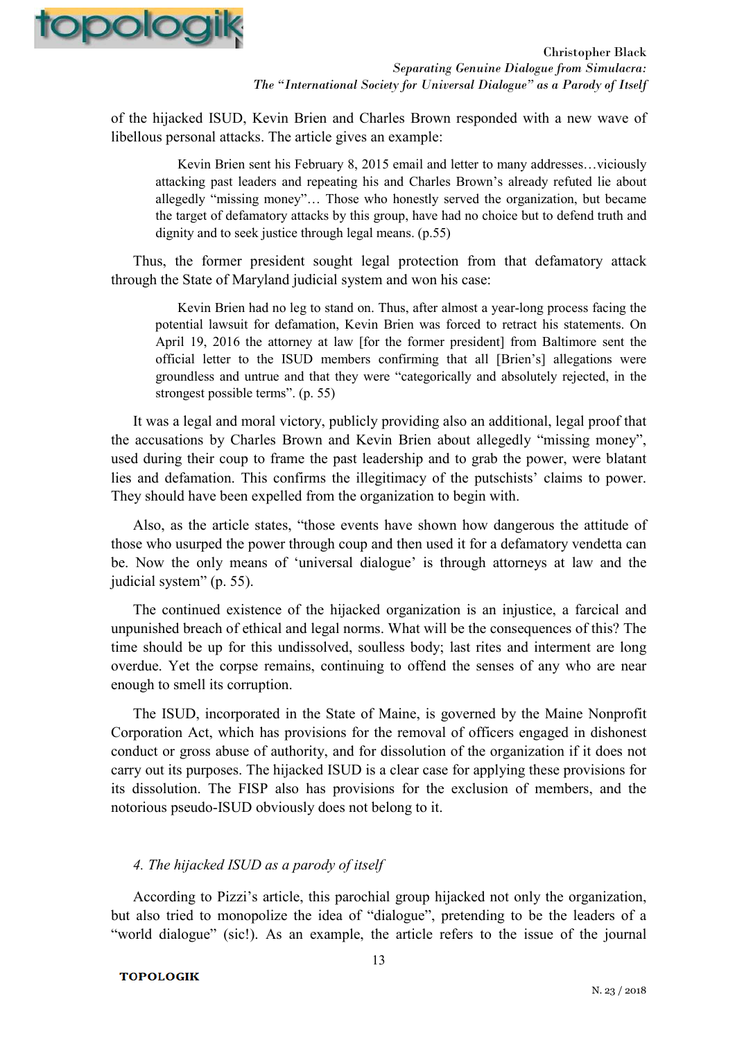

of the hijacked ISUD, Kevin Brien and Charles Brown responded with a new wave of libellous personal attacks. The article gives an example:

Kevin Brien sent his February 8, 2015 email and letter to many addresses…viciously attacking past leaders and repeating his and Charles Brown's already refuted lie about allegedly "missing money"… Those who honestly served the organization, but became the target of defamatory attacks by this group, have had no choice but to defend truth and dignity and to seek justice through legal means. (p.55)

Thus, the former president sought legal protection from that defamatory attack through the State of Maryland judicial system and won his case:

Kevin Brien had no leg to stand on. Thus, after almost a year-long process facing the potential lawsuit for defamation, Kevin Brien was forced to retract his statements. On April 19, 2016 the attorney at law [for the former president] from Baltimore sent the official letter to the ISUD members confirming that all [Brien's] allegations were groundless and untrue and that they were "categorically and absolutely rejected, in the strongest possible terms". (p. 55)

It was a legal and moral victory, publicly providing also an additional, legal proof that the accusations by Charles Brown and Kevin Brien about allegedly "missing money", used during their coup to frame the past leadership and to grab the power, were blatant lies and defamation. This confirms the illegitimacy of the putschists' claims to power. They should have been expelled from the organization to begin with.

Also, as the article states, "those events have shown how dangerous the attitude of those who usurped the power through coup and then used it for a defamatory vendetta can be. Now the only means of 'universal dialogue' is through attorneys at law and the judicial system" (p. 55).

The continued existence of the hijacked organization is an injustice, a farcical and unpunished breach of ethical and legal norms. What will be the consequences of this? The time should be up for this undissolved, soulless body; last rites and interment are long overdue. Yet the corpse remains, continuing to offend the senses of any who are near enough to smell its corruption.

The ISUD, incorporated in the State of Maine, is governed by the Maine Nonprofit Corporation Act, which has provisions for the removal of officers engaged in dishonest conduct or gross abuse of authority, and for dissolution of the organization if it does not carry out its purposes. The hijacked ISUD is a clear case for applying these provisions for its dissolution. The FISP also has provisions for the exclusion of members, and the notorious pseudo-ISUD obviously does not belong to it.

## *4. The hijacked ISUD as a parody of itself*

According to Pizzi's article, this parochial group hijacked not only the organization, but also tried to monopolize the idea of "dialogue", pretending to be the leaders of a "world dialogue" (sic!). As an example, the article refers to the issue of the journal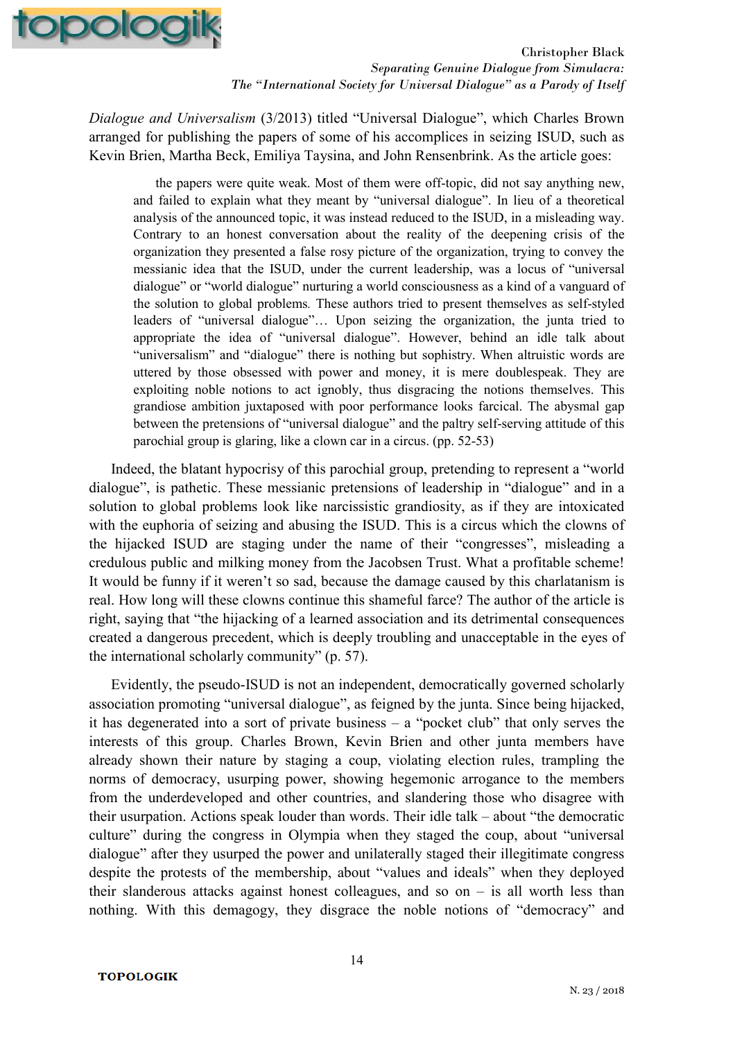

*Dialogue and Universalism* (3/2013) titled "Universal Dialogue", which Charles Brown arranged for publishing the papers of some of his accomplices in seizing ISUD, such as Kevin Brien, Martha Beck, Emiliya Taysina, and John Rensenbrink. As the article goes:

the papers were quite weak. Most of them were off-topic, did not say anything new, and failed to explain what they meant by "universal dialogue". In lieu of a theoretical analysis of the announced topic, it was instead reduced to the ISUD, in a misleading way. Contrary to an honest conversation about the reality of the deepening crisis of the organization they presented a false rosy picture of the organization, trying to convey the messianic idea that the ISUD, under the current leadership, was a locus of "universal dialogue" or "world dialogue" nurturing a world consciousness as a kind of a vanguard of the solution to global problems*.* These authors tried to present themselves as self-styled leaders of "universal dialogue"… Upon seizing the organization, the junta tried to appropriate the idea of "universal dialogue". However, behind an idle talk about "universalism" and "dialogue" there is nothing but sophistry. When altruistic words are uttered by those obsessed with power and money, it is mere doublespeak. They are exploiting noble notions to act ignobly, thus disgracing the notions themselves. This grandiose ambition juxtaposed with poor performance looks farcical. The abysmal gap between the pretensions of "universal dialogue" and the paltry self-serving attitude of this parochial group is glaring, like a clown car in a circus. (pp. 52-53)

Indeed, the blatant hypocrisy of this parochial group, pretending to represent a "world dialogue", is pathetic. These messianic pretensions of leadership in "dialogue" and in a solution to global problems look like narcissistic grandiosity, as if they are intoxicated with the euphoria of seizing and abusing the ISUD. This is a circus which the clowns of the hijacked ISUD are staging under the name of their "congresses", misleading a credulous public and milking money from the Jacobsen Trust. What a profitable scheme! It would be funny if it weren't so sad, because the damage caused by this charlatanism is real. How long will these clowns continue this shameful farce? The author of the article is right, saying that "the hijacking of a learned association and its detrimental consequences created a dangerous precedent, which is deeply troubling and unacceptable in the eyes of the international scholarly community" (p. 57).

Evidently, the pseudo-ISUD is not an independent, democratically governed scholarly association promoting "universal dialogue", as feigned by the junta. Since being hijacked, it has degenerated into a sort of private business – a "pocket club" that only serves the interests of this group. Charles Brown, Kevin Brien and other junta members have already shown their nature by staging a coup, violating election rules, trampling the norms of democracy, usurping power, showing hegemonic arrogance to the members from the underdeveloped and other countries, and slandering those who disagree with their usurpation. Actions speak louder than words. Their idle talk – about "the democratic culture" during the congress in Olympia when they staged the coup, about "universal dialogue" after they usurped the power and unilaterally staged their illegitimate congress despite the protests of the membership, about "values and ideals" when they deployed their slanderous attacks against honest colleagues, and so on – is all worth less than nothing. With this demagogy, they disgrace the noble notions of "democracy" and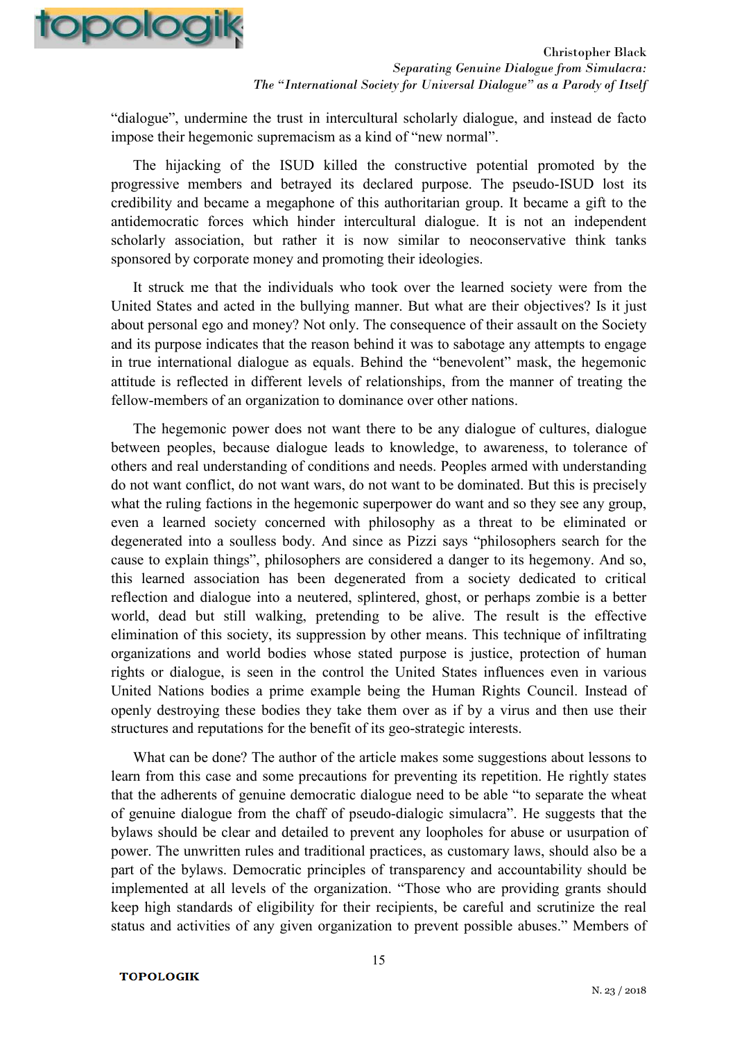

"dialogue", undermine the trust in intercultural scholarly dialogue, and instead de facto impose their hegemonic supremacism as a kind of "new normal".

The hijacking of the ISUD killed the constructive potential promoted by the progressive members and betrayed its declared purpose. The pseudo-ISUD lost its credibility and became a megaphone of this authoritarian group. It became a gift to the antidemocratic forces which hinder intercultural dialogue. It is not an independent scholarly association, but rather it is now similar to neoconservative think tanks sponsored by corporate money and promoting their ideologies.

It struck me that the individuals who took over the learned society were from the United States and acted in the bullying manner. But what are their objectives? Is it just about personal ego and money? Not only. The consequence of their assault on the Society and its purpose indicates that the reason behind it was to sabotage any attempts to engage in true international dialogue as equals. Behind the "benevolent" mask, the hegemonic attitude is reflected in different levels of relationships, from the manner of treating the fellow-members of an organization to dominance over other nations.

The hegemonic power does not want there to be any dialogue of cultures, dialogue between peoples, because dialogue leads to knowledge, to awareness, to tolerance of others and real understanding of conditions and needs. Peoples armed with understanding do not want conflict, do not want wars, do not want to be dominated. But this is precisely what the ruling factions in the hegemonic superpower do want and so they see any group, even a learned society concerned with philosophy as a threat to be eliminated or degenerated into a soulless body. And since as Pizzi says "philosophers search for the cause to explain things", philosophers are considered a danger to its hegemony. And so, this learned association has been degenerated from a society dedicated to critical reflection and dialogue into a neutered, splintered, ghost, or perhaps zombie is a better world, dead but still walking, pretending to be alive. The result is the effective elimination of this society, its suppression by other means. This technique of infiltrating organizations and world bodies whose stated purpose is justice, protection of human rights or dialogue, is seen in the control the United States influences even in various United Nations bodies a prime example being the Human Rights Council. Instead of openly destroying these bodies they take them over as if by a virus and then use their structures and reputations for the benefit of its geo-strategic interests.

What can be done? The author of the article makes some suggestions about lessons to learn from this case and some precautions for preventing its repetition. He rightly states that the adherents of genuine democratic dialogue need to be able "to separate the wheat of genuine dialogue from the chaff of pseudo-dialogic simulacra". He suggests that the bylaws should be clear and detailed to prevent any loopholes for abuse or usurpation of power. The unwritten rules and traditional practices, as customary laws, should also be a part of the bylaws. Democratic principles of transparency and accountability should be implemented at all levels of the organization. "Those who are providing grants should keep high standards of eligibility for their recipients, be careful and scrutinize the real status and activities of any given organization to prevent possible abuses." Members of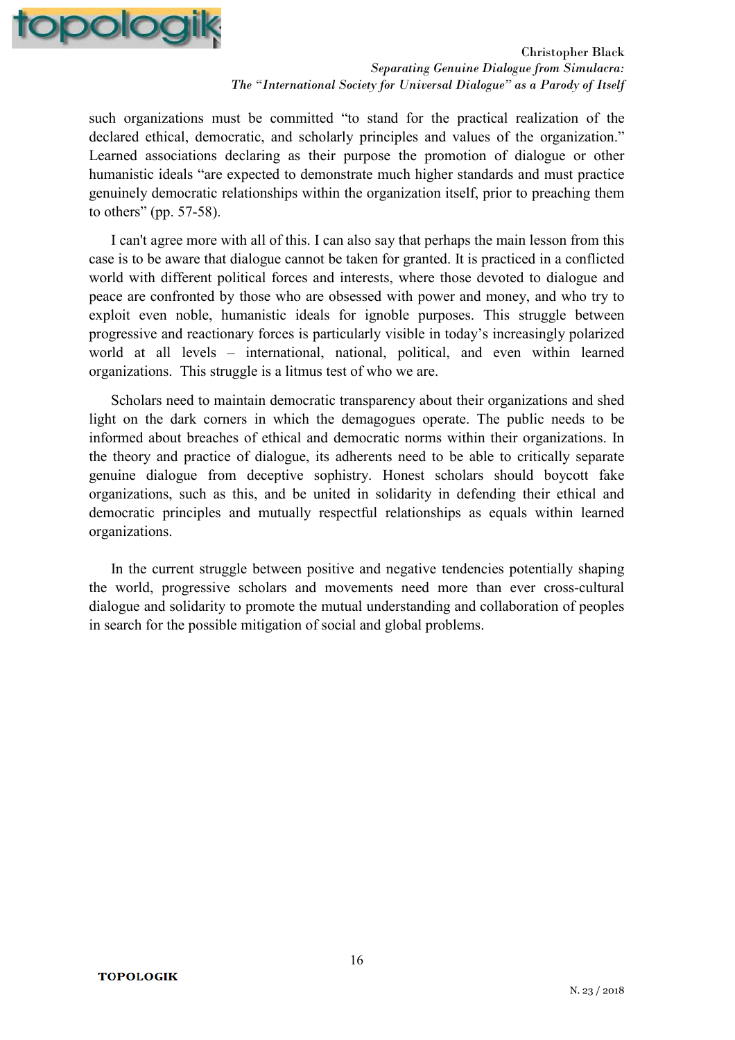

such organizations must be committed "to stand for the practical realization of the declared ethical, democratic, and scholarly principles and values of the organization." Learned associations declaring as their purpose the promotion of dialogue or other humanistic ideals "are expected to demonstrate much higher standards and must practice genuinely democratic relationships within the organization itself, prior to preaching them to others" (pp. 57-58).

I can't agree more with all of this. I can also say that perhaps the main lesson from this case is to be aware that dialogue cannot be taken for granted. It is practiced in a conflicted world with different political forces and interests, where those devoted to dialogue and peace are confronted by those who are obsessed with power and money, and who try to exploit even noble, humanistic ideals for ignoble purposes. This struggle between progressive and reactionary forces is particularly visible in today's increasingly polarized world at all levels – international, national, political, and even within learned organizations. This struggle is a litmus test of who we are.

Scholars need to maintain democratic transparency about their organizations and shed light on the dark corners in which the demagogues operate. The public needs to be informed about breaches of ethical and democratic norms within their organizations. In the theory and practice of dialogue, its adherents need to be able to critically separate genuine dialogue from deceptive sophistry. Honest scholars should boycott fake organizations, such as this, and be united in solidarity in defending their ethical and democratic principles and mutually respectful relationships as equals within learned organizations.

In the current struggle between positive and negative tendencies potentially shaping the world, progressive scholars and movements need more than ever cross-cultural dialogue and solidarity to promote the mutual understanding and collaboration of peoples in search for the possible mitigation of social and global problems.